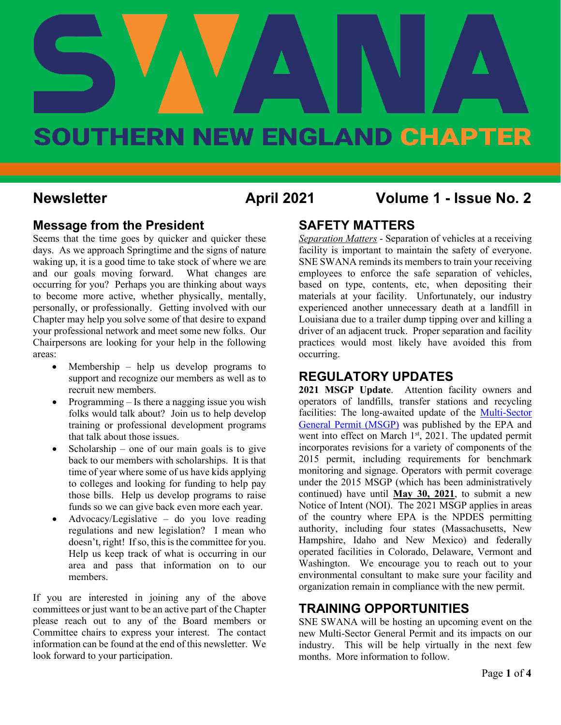# **April 2021 Vol. 1 - Issue No.2** SOUTHERN NEW ENGLAND CHAPTER

#### **Newsletter April 2021 Volume 1 - Issue No. 2**

#### **Message from the President**

Seems that the time goes by quicker and quicker these days. As we approach Springtime and the signs of nature waking up, it is a good time to take stock of where we are and our goals moving forward. What changes are occurring for you? Perhaps you are thinking about ways to become more active, whether physically, mentally, personally, or professionally. Getting involved with our Chapter may help you solve some of that desire to expand your professional network and meet some new folks. Our Chairpersons are looking for your help in the following areas:

- Membership help us develop programs to support and recognize our members as well as to recruit new members.
- Programming Is there a nagging issue you wish folks would talk about? Join us to help develop training or professional development programs that talk about those issues.
- Scholarship one of our main goals is to give back to our members with scholarships. It is that time of year where some of us have kids applying to colleges and looking for funding to help pay those bills. Help us develop programs to raise funds so we can give back even more each year.
- Advocacy/Legislative do you love reading regulations and new legislation? I mean who doesn't, right! If so, this is the committee for you. Help us keep track of what is occurring in our area and pass that information on to our members.

If you are interested in joining any of the above committees or just want to be an active part of the Chapter please reach out to any of the Board members or Committee chairs to express your interest. The contact information can be found at the end of this newsletter. We look forward to your participation.

#### **SAFETY MATTERS**

*Separation Matters* - Separation of vehicles at a receiving facility is important to maintain the safety of everyone. SNE SWANA reminds its members to train your receiving employees to enforce the safe separation of vehicles, based on type, contents, etc, when depositing their materials at your facility. Unfortunately, our industry experienced another unnecessary death at a landfill in Louisiana due to a trailer dump tipping over and killing a driver of an adjacent truck. Proper separation and facility practices would most likely have avoided this from occurring.

#### **REGULATORY UPDATES**

**2021 MSGP Update**. Attention facility owners and operators of landfills, transfer stations and recycling facilities: The long-awaited update of the [Multi-Sector](https://www.epa.gov/npdes/stormwater-discharges-industrial-activities-epas-2021-msgp)  [General Permit \(MSGP\)](https://www.epa.gov/npdes/stormwater-discharges-industrial-activities-epas-2021-msgp) was published by the EPA and went into effect on March 1<sup>st</sup>, 2021. The updated permit incorporates revisions for a variety of components of the 2015 permit, including requirements for benchmark monitoring and signage. Operators with permit coverage under the 2015 MSGP (which has been administratively continued) have until **May 30, 2021**, to submit a new Notice of Intent (NOI). The 2021 MSGP applies in areas of the country where EPA is the NPDES permitting authority, including four states (Massachusetts, New Hampshire, Idaho and New Mexico) and federally operated facilities in Colorado, Delaware, Vermont and Washington. We encourage you to reach out to your environmental consultant to make sure your facility and organization remain in compliance with the new permit.

#### **TRAINING OPPORTUNITIES**

SNE SWANA will be hosting an upcoming event on the new Multi-Sector General Permit and its impacts on our industry. This will be help virtually in the next few months. More information to follow.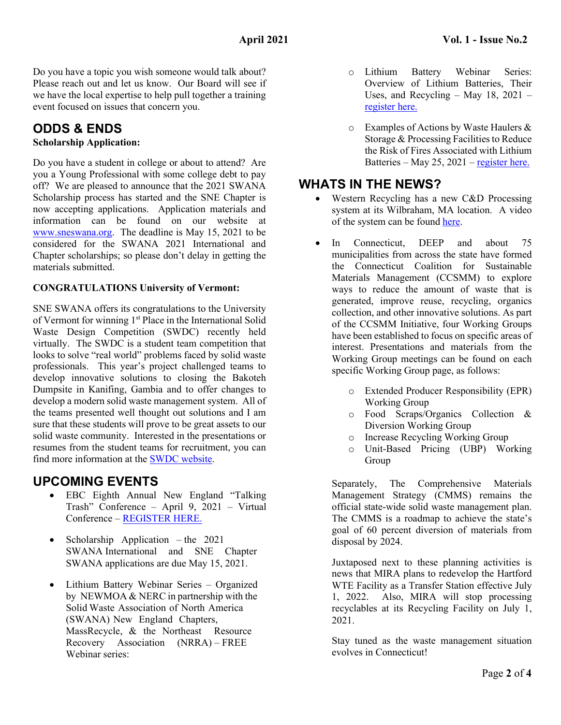Do you have a topic you wish someone would talk about? Please reach out and let us know. Our Board will see if we have the local expertise to help pull together a training event focused on issues that concern you.

#### **ODDS & ENDS**

#### **Scholarship Application:**

Do you have a student in college or about to attend? Are you a Young Professional with some college debt to pay off? We are pleased to announce that the 2021 SWANA Scholarship process has started and the SNE Chapter is now accepting applications. Application materials and information can be found on our website at [www.sneswana.org.](http://www.sneswana.org/) The deadline is May 15, 2021 to be considered for the SWANA 2021 International and Chapter scholarships; so please don't delay in getting the materials submitted.

#### **CONGRATULATIONS University of Vermont:**

SNE SWANA offers its congratulations to the University of Vermont for winning 1<sup>st</sup> Place in the International Solid Waste Design Competition (SWDC) recently held virtually. The SWDC is a student team competition that looks to solve "real world" problems faced by solid waste professionals. This year's project challenged teams to develop innovative solutions to closing the Bakoteh Dumpsite in Kanifing, Gambia and to offer changes to develop a modern solid waste management system. All of the teams presented well thought out solutions and I am sure that these students will prove to be great assets to our solid waste community. Interested in the presentations or resumes from the student teams for recruitment, you can find more information at the [SWDC website.](https://swana.org/community/young-professionals/solid-waste-design-competition?utm_campaign=New%20Member&utm_medium=email&_hsmi=117686110&_hsenc=p2ANqtz-8TCC6ELLeGwJexv2G8oHH8ubW98NKj3Na1uPxk20SuvQy8IEe19y0Msbz9v5WPbL9L4HqHptj0gFOIqE0eUgD-Grznug&utm_content=117686110&utm_source=hs_email)

#### **UPCOMING EVENTS**

- EBC Eighth Annual New England "Talking Trash" Conference – April 9, 2021 – Virtual Conference [– REGISTER HERE.](https://environmentalbusinesscouncilofnewengland.growthzoneapp.com/ap/r/8194ceb7c23e4bfd864794762707ede7)
- Scholarship Application the 2021 SWANA International and SNE Chapter SWANA applications are due May 15, 2021.
- Lithium Battery Webinar Series Organized by NEWMOA & NERC in partnership with the Solid Waste Association of North America (SWANA) New England Chapters, MassRecycle, & the Northeast Resource Recovery Association (NRRA) – FREE Webinar series:
- o Lithium Battery Webinar Series: Overview of Lithium Batteries, Their Uses, and Recycling – May  $18$ ,  $2021$  – [register here.](https://attendee.gotowebinar.com/register/2502539456157498637)
- o Examples of Actions by Waste Haulers & Storage & Processing Facilities to Reduce the Risk of Fires Associated with Lithium Batteries – May 25, 2021 – [register here.](https://register.gotowebinar.com/register/2444591894838844941)

#### **WHATS IN THE NEWS?**

- Western Recycling has a new C&D Processing system at its Wilbraham, MA location. A video of the system can be found [here.](https://www.youtube.com/watch?v=PwStvGRGp6Y)
- In Connecticut, DEEP and about 75 municipalities from across the state have formed the Connecticut Coalition for Sustainable Materials Management (CCSMM) to explore ways to reduce the amount of waste that is generated, improve reuse, recycling, organics collection, and other innovative solutions. As part of the CCSMM Initiative, four Working Groups have been established to focus on specific areas of interest. Presentations and materials from the Working Group meetings can be found on each specific Working Group page, as follows:
	- o Extended Producer Responsibility (EPR) Working Group
	- o Food Scraps/Organics Collection & Diversion Working Group
	- o Increase Recycling Working Group
	- o Unit-Based Pricing (UBP) Working Group

Separately, The Comprehensive Materials Management Strategy (CMMS) remains the official state-wide solid waste management plan. The CMMS is a roadmap to achieve the state's goal of 60 percent diversion of materials from disposal by 2024.

Juxtaposed next to these planning activities is news that MIRA plans to redevelop the Hartford WTE Facility as a Transfer Station effective July 1, 2022. Also, MIRA will stop processing recyclables at its Recycling Facility on July 1, 2021.

Stay tuned as the waste management situation evolves in Connecticut!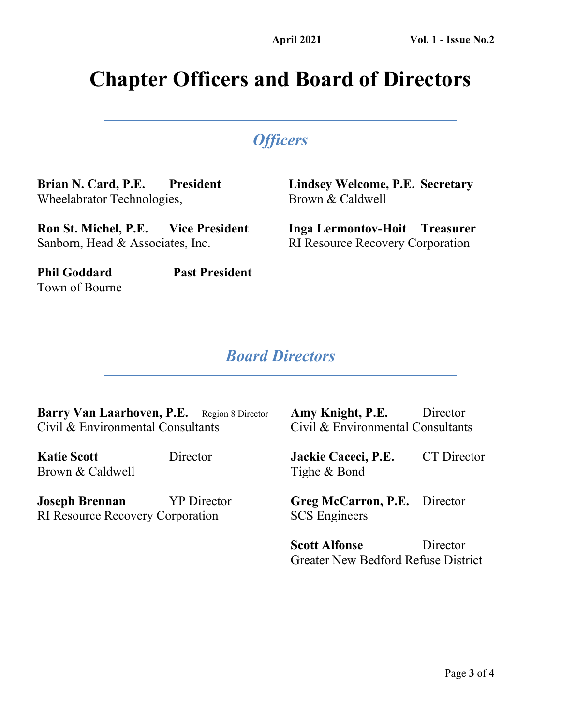## **Chapter Officers and Board of Directors**

### *Officers*

**Brian N. Card, P.E. President** Wheelabrator Technologies,

**Ron St. Michel, P.E. Vice President** Sanborn, Head & Associates, Inc.

**Phil Goddard Past President** Town of Bourne

#### **Lindsey Welcome, P.E. Secretary** Brown & Caldwell

**Inga Lermontov-Hoit Treasurer** RI Resource Recovery Corporation

#### *Board Directors*

Barry Van Laarhoven, P.E. Region 8 Director Civil & Environmental Consultants

**Katie Scott** Director Brown & Caldwell

**Joseph Brennan** YP Director RI Resource Recovery Corporation

**Amy Knight, P.E.** Director Civil & Environmental Consultants

**Jackie Caceci, P.E.** CT Director Tighe & Bond

**Greg McCarron, P.E.** Director SCS Engineers

**Scott Alfonse** Director Greater New Bedford Refuse District